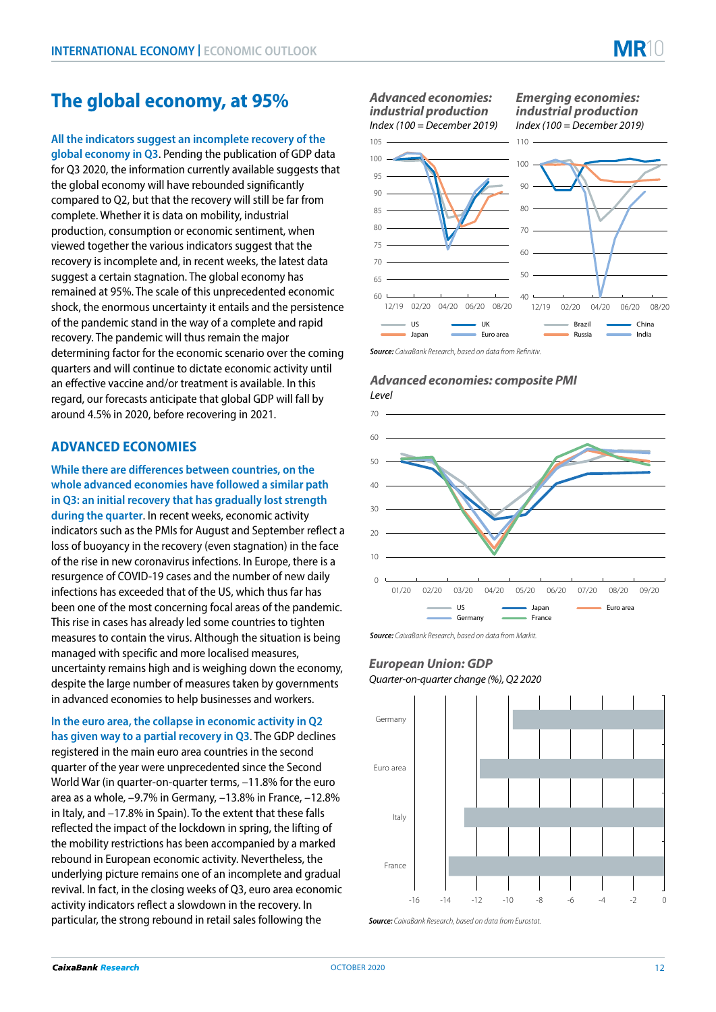# **The global economy, at 95%**

**All the indicators suggest an incomplete recovery of the global economy in Q3**. Pending the publication of GDP data for Q3 2020, the information currently available suggests that the global economy will have rebounded significantly compared to Q2, but that the recovery will still be far from complete. Whether it is data on mobility, industrial production, consumption or economic sentiment, when viewed together the various indicators suggest that the recovery is incomplete and, in recent weeks, the latest data suggest a certain stagnation. The global economy has remained at 95%. The scale of this unprecedented economic shock, the enormous uncertainty it entails and the persistence of the pandemic stand in the way of a complete and rapid recovery. The pandemic will thus remain the major determining factor for the economic scenario over the coming quarters and will continue to dictate economic activity until an effective vaccine and/or treatment is available. In this regard, our forecasts anticipate that global GDP will fall by around 4.5% in 2020, before recovering in 2021.

# **ADVANCED ECONOMIES**

**While there are differences between countries, on the whole advanced economies have followed a similar path in Q3: an initial recovery that has gradually lost strength during the quarter**. In recent weeks, economic activity indicators such as the PMIs for August and September reflect a loss of buoyancy in the recovery (even stagnation) in the face of the rise in new coronavirus infections. In Europe, there is a resurgence of COVID-19 cases and the number of new daily infections has exceeded that of the US, which thus far has been one of the most concerning focal areas of the pandemic. This rise in cases has already led some countries to tighten measures to contain the virus. Although the situation is being managed with specific and more localised measures, uncertainty remains high and is weighing down the economy, despite the large number of measures taken by governments in advanced economies to help businesses and workers.

**In the euro area, the collapse in economic activity in Q2 has given way to a partial recovery in Q3**. The GDP declines registered in the main euro area countries in the second quarter of the year were unprecedented since the Second World War (in quarter-on-quarter terms, –11.8% for the euro area as a whole, –9.7% in Germany, –13.8% in France, –12.8% in Italy, and –17.8% in Spain). To the extent that these falls reflected the impact of the lockdown in spring, the lifting of the mobility restrictions has been accompanied by a marked rebound in European economic activity. Nevertheless, the underlying picture remains one of an incomplete and gradual revival. In fact, in the closing weeks of Q3, euro area economic activity indicators reflect a slowdown in the recovery. In particular, the strong rebound in retail sales following the

#### *Index (100 = December 2019) Advanced economies: industrial production*

*Index (100 = December 2019) Emerging economies: industrial production*



**Source:** *CaixaBank Research, based on data from Refinitive* 

#### *Advanced economies: composite PMI Level*



*Source: CaixaBank Research, based on data from Markit.*

# *European Union: GDP*

*Quarter-on-quarter change (%), Q2 2020*



*Source: CaixaBank Research, based on data from Eurostat.*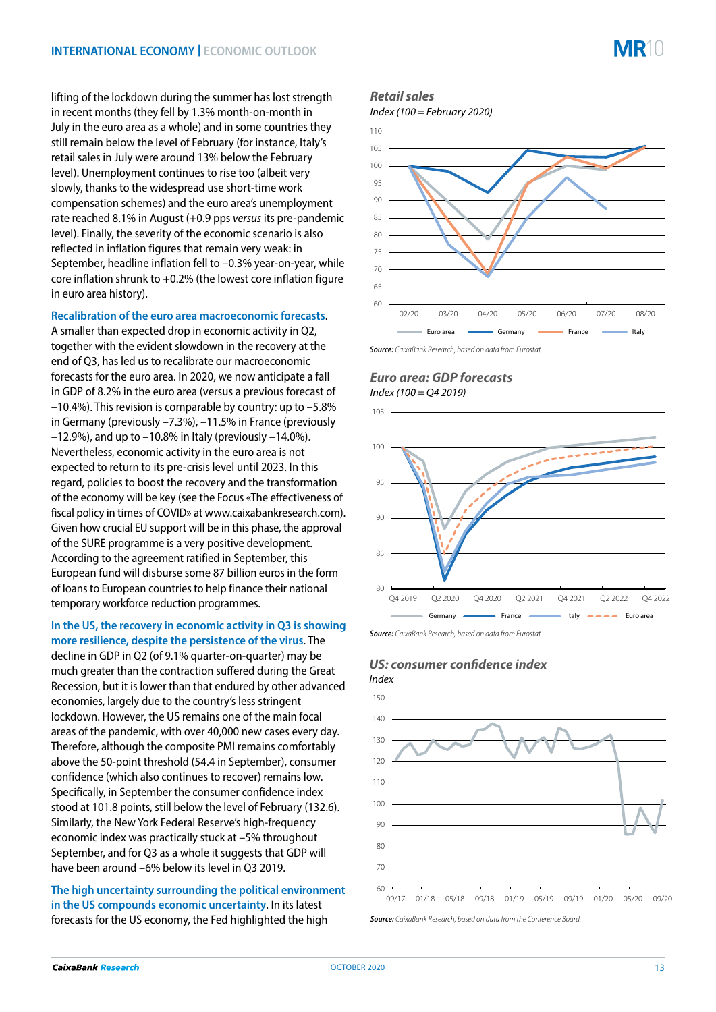lifting of the lockdown during the summer has lost strength in recent months (they fell by 1.3% month-on-month in July in the euro area as a whole) and in some countries they still remain below the level of February (for instance, Italy's retail sales in July were around 13% below the February level). Unemployment continues to rise too (albeit very slowly, thanks to the widespread use short-time work compensation schemes) and the euro area's unemployment rate reached 8.1% in August (+0.9 pps *versus* its pre-pandemic level). Finally, the severity of the economic scenario is also reflected in inflation figures that remain very weak: in September, headline inflation fell to –0.3% year-on-year, while core inflation shrunk to +0.2% (the lowest core inflation figure in euro area history).

#### **Recalibration of the euro area macroeconomic forecasts**.

A smaller than expected drop in economic activity in Q2, together with the evident slowdown in the recovery at the end of Q3, has led us to recalibrate our macroeconomic forecasts for the euro area. In 2020, we now anticipate a fall in GDP of 8.2% in the euro area (versus a previous forecast of –10.4%). This revision is comparable by country: up to –5.8% in Germany (previously –7.3%), –11.5% in France (previously  $-12.9\%$ ), and up to  $-10.8\%$  in Italy (previously  $-14.0\%$ ). Nevertheless, economic activity in the euro area is not expected to return to its pre-crisis level until 2023. In this regard, policies to boost the recovery and the transformation of the economy will be key (see the Focus «The effectiveness of fiscal policy in times of COVID» at www.caixabankresearch.com). Given how crucial EU support will be in this phase, the approval of the SURE programme is a very positive development. According to the agreement ratified in September, this European fund will disburse some 87 billion euros in the form of loans to European countries to help finance their national temporary workforce reduction programmes.

#### **In the US, the recovery in economic activity in Q3 is showing more resilience, despite the persistence of the virus**. The

decline in GDP in Q2 (of 9.1% quarter-on-quarter) may be much greater than the contraction suffered during the Great Recession, but it is lower than that endured by other advanced economies, largely due to the country's less stringent lockdown. However, the US remains one of the main focal areas of the pandemic, with over 40,000 new cases every day. Therefore, although the composite PMI remains comfortably above the 50-point threshold (54.4 in September), consumer confidence (which also continues to recover) remains low. Specifically, in September the consumer confidence index stood at 101.8 points, still below the level of February (132.6). Similarly, the New York Federal Reserve's high-frequency economic index was practically stuck at –5% throughout September, and for Q3 as a whole it suggests that GDP will have been around –6% below its level in Q3 2019.

**The high uncertainty surrounding the political environment in the US compounds economic uncertainty**. In its latest forecasts for the US economy, the Fed highlighted the high

#### *Retail sales*

*Index (100 = February 2020)*



*Source: CaixaBank Research, based on data from Eurostat.* 

### *Euro area: GDP forecasts Index (100 = Q4 2019)*

105



*Source: CaixaBank Research, based on data from Eurostat.*



#### **CaixaBank Research**